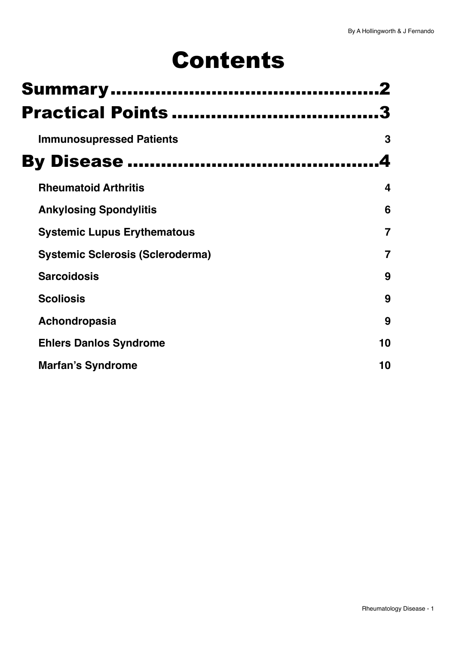# Contents

| <b>Practical Points </b>                |    |  |  |  |
|-----------------------------------------|----|--|--|--|
| <b>Immunosupressed Patients</b>         | 3  |  |  |  |
|                                         |    |  |  |  |
| <b>Rheumatoid Arthritis</b>             | 4  |  |  |  |
| <b>Ankylosing Spondylitis</b>           | 6  |  |  |  |
| <b>Systemic Lupus Erythematous</b>      | 7  |  |  |  |
| <b>Systemic Sclerosis (Scleroderma)</b> | 7  |  |  |  |
| <b>Sarcoidosis</b>                      | 9  |  |  |  |
| <b>Scoliosis</b>                        | 9  |  |  |  |
| Achondropasia                           | 9  |  |  |  |
| <b>Ehlers Danlos Syndrome</b>           | 10 |  |  |  |
| <b>Marfan's Syndrome</b>                | 10 |  |  |  |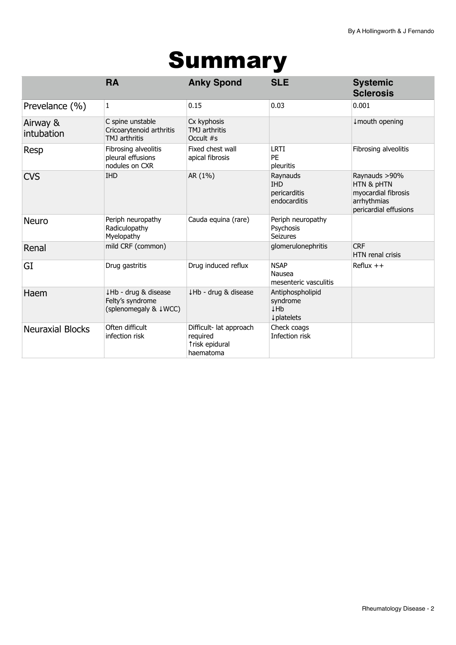# <span id="page-1-0"></span>Summary

|                         | <b>RA</b>                                                         | <b>Anky Spond</b>                                                  | <b>SLE</b>                                             | <b>Systemic</b><br><b>Sclerosis</b>                                                        |
|-------------------------|-------------------------------------------------------------------|--------------------------------------------------------------------|--------------------------------------------------------|--------------------------------------------------------------------------------------------|
| Prevelance (%)          | 1                                                                 | 0.15                                                               | 0.03                                                   | 0.001                                                                                      |
| Airway &<br>intubation  | C spine unstable<br>Cricoarytenoid arthritis<br>TMJ arthritis     | Cx kyphosis<br>TMJ arthritis<br>Occult #s                          |                                                        | ↓ mouth opening                                                                            |
| Resp                    | Fibrosing alveolitis<br>pleural effusions<br>nodules on CXR       | Fixed chest wall<br>apical fibrosis                                | <b>LRTI</b><br>PE<br>pleuritis                         | Fibrosing alveolitis                                                                       |
| <b>CVS</b>              | <b>IHD</b>                                                        | AR (1%)                                                            | Raynauds<br><b>IHD</b><br>pericarditis<br>endocarditis | Raynauds >90%<br>HTN & pHTN<br>myocardial fibrosis<br>arrhythmias<br>pericardial effusions |
| <b>Neuro</b>            | Periph neuropathy<br>Radiculopathy<br>Myelopathy                  | Cauda equina (rare)                                                | Periph neuropathy<br>Psychosis<br>Seizures             |                                                                                            |
| Renal                   | mild CRF (common)                                                 |                                                                    | glomerulonephritis                                     | <b>CRF</b><br><b>HTN</b> renal crisis                                                      |
| GI                      | Drug gastritis                                                    | Drug induced reflux                                                | <b>NSAP</b><br>Nausea<br>mesenteric vasculitis         | $Reflux ++$                                                                                |
| Haem                    | ↓Hb - drug & disease<br>Felty's syndrome<br>(splenomegaly & ↓WCC) | ↓Hb - drug & disease                                               | Antiphospholipid<br>syndrome<br>↓Hb<br>↓ platelets     |                                                                                            |
| <b>Neuraxial Blocks</b> | Often difficult<br>infection risk                                 | Difficult- lat approach<br>required<br>trisk epidural<br>haematoma | Check coags<br>Infection risk                          |                                                                                            |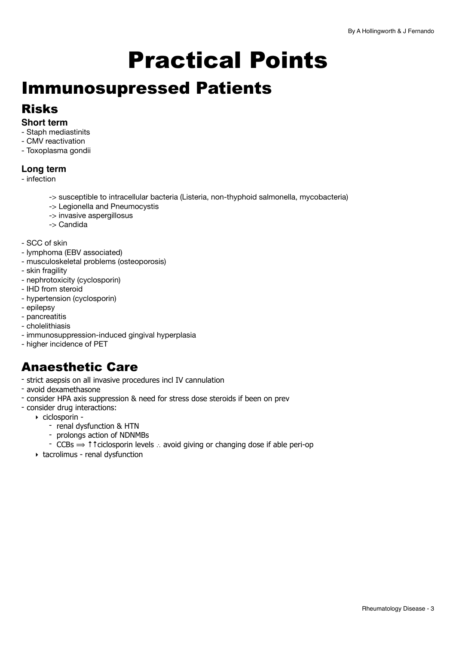# <span id="page-2-0"></span>Practical Points

## <span id="page-2-1"></span>Immunosupressed Patients

### Risks

#### **Short term**

- Staph mediastinits
- CMV reactivation
- Toxoplasma gondii

### **Long term**

- infection
	- -> susceptible to intracellular bacteria (Listeria, non-thyphoid salmonella, mycobacteria)
	- -> Legionella and Pneumocystis
	- -> invasive aspergillosus
	- -> Candida
- SCC of skin
- lymphoma (EBV associated)
- musculoskeletal problems (osteoporosis)
- skin fragility
- nephrotoxicity (cyclosporin)
- IHD from steroid
- hypertension (cyclosporin)
- epilepsy
- pancreatitis
- cholelithiasis
- immunosuppression-induced gingival hyperplasia
- higher incidence of PET

### Anaesthetic Care

- strict asepsis on all invasive procedures incl IV cannulation
- avoid dexamethasone
- consider HPA axis suppression & need for stress dose steroids if been on prev
- consider drug interactions:
	- ‣ ciclosporin
		- renal dysfunction & HTN
		- prolongs action of NDNMBs
		- CCBs ⟹ ↑↑ciclosporin levels ∴ avoid giving or changing dose if able peri-op
	- ‣ tacrolimus renal dysfunction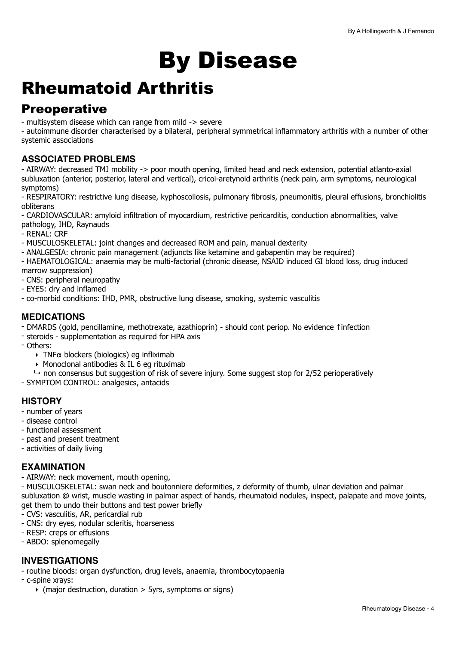# <span id="page-3-0"></span>By Disease

## <span id="page-3-1"></span>Rheumatoid Arthritis

### **Preoperative**

- multisystem disease which can range from mild -> severe

- autoimmune disorder characterised by a bilateral, peripheral symmetrical inflammatory arthritis with a number of other systemic associations

### **ASSOCIATED PROBLEMS**

- AIRWAY: decreased TMJ mobility -> poor mouth opening, limited head and neck extension, potential atlanto-axial subluxation (anterior, posterior, lateral and vertical), cricoi-aretynoid arthritis (neck pain, arm symptoms, neurological symptoms)

- RESPIRATORY: restrictive lung disease, kyphoscoliosis, pulmonary fibrosis, pneumonitis, pleural effusions, bronchiolitis obliterans

- CARDIOVASCULAR: amyloid infiltration of myocardium, restrictive pericarditis, conduction abnormalities, valve pathology, IHD, Raynauds

- RENAL: CRF

- MUSCULOSKELETAL: joint changes and decreased ROM and pain, manual dexterity

- ANALGESIA: chronic pain management (adjuncts like ketamine and gabapentin may be required)

- HAEMATOLOGICAL: anaemia may be multi-factorial (chronic disease, NSAID induced GI blood loss, drug induced

marrow suppression)

- CNS: peripheral neuropathy
- EYES: dry and inflamed
- co-morbid conditions: IHD, PMR, obstructive lung disease, smoking, systemic vasculitis

### **MEDICATIONS**

- DMARDS (gold, pencillamine, methotrexate, azathioprin) should cont periop. No evidence ↑infection
- steroids supplementation as required for HPA axis
- Others:
	- $\rightarrow$  TNF $\alpha$  blockers (biologics) eg infliximab
	- ‣ Monoclonal antibodies & IL 6 eg rituximab
- $\rightarrow$  non consensus but suggestion of risk of severe injury. Some suggest stop for 2/52 perioperatively
- SYMPTOM CONTROL: analgesics, antacids

### **HISTORY**

- number of years
- disease control
- functional assessment
- past and present treatment
- activities of daily living

#### **EXAMINATION**

- AIRWAY: neck movement, mouth opening,

- MUSCULOSKELETAL: swan neck and boutonniere deformities, z deformity of thumb, ulnar deviation and palmar subluxation @ wrist, muscle wasting in palmar aspect of hands, rheumatoid nodules, inspect, palapate and move joints, get them to undo their buttons and test power briefly

- CVS: vasculitis, AR, pericardial rub
- CNS: dry eyes, nodular scleritis, hoarseness
- RESP: creps or effusions
- ABDO: splenomegally

### **INVESTIGATIONS**

- routine bloods: organ dysfunction, drug levels, anaemia, thrombocytopaenia

- c-spine xrays:

 $\rightarrow$  (major destruction, duration  $>$  5yrs, symptoms or signs)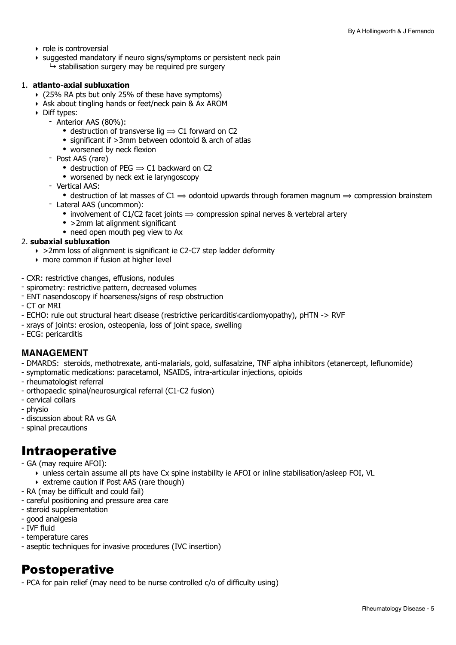- ‣ role is controversial
- ‣ suggested mandatory if neuro signs/symptoms or persistent neck pain
	- $\rightarrow$  stabilisation surgery may be required pre surgery

#### 1. **atlanto-axial subluxation**

- ‣ (25% RA pts but only 25% of these have symptoms)
- ‣ Ask about tingling hands or feet/neck pain & Ax AROM
- ‣ Diff types:
	- Anterior AAS (80%):
		- destruction of transverse lig  $\Rightarrow$  C1 forward on C2
		- significant if >3mm between odontoid & arch of atlas
		- worsened by neck flexion
	- Post AAS (rare)
		- destruction of PEG  $\Rightarrow$  C1 backward on C2
		- worsened by neck ext ie laryngoscopy
	- Vertical AAS:
		- destruction of lat masses of  $C1 \Rightarrow$  odontoid upwards through foramen magnum  $\Rightarrow$  compression brainstem
	- Lateral AAS (uncommon):
		- involvement of C1/C2 facet joints  $\Rightarrow$  compression spinal nerves & vertebral artery
		- > 2mm lat alignment significant
		- need open mouth peg view to Ax

#### 2. **subaxial subluxation**

- ‣ >2mm loss of alignment is significant ie C2-C7 step ladder deformity
- ‣ more common if fusion at higher level
- CXR: restrictive changes, effusions, nodules
- spirometry: restrictive pattern, decreased volumes
- ENT nasendoscopy if hoarseness/signs of resp obstruction
- CT or MRI
- ECHO: rule out structural heart disease (restrictive pericarditis\cardiomyopathy), pHTN -> RVF
- xrays of joints: erosion, osteopenia, loss of joint space, swelling
- ECG: pericarditis

#### **MANAGEMENT**

- DMARDS: steroids, methotrexate, anti-malarials, gold, sulfasalzine, TNF alpha inhibitors (etanercept, leflunomide)
- symptomatic medications: paracetamol, NSAIDS, intra-articular injections, opioids
- rheumatologist referral
- orthopaedic spinal/neurosurgical referral (C1-C2 fusion)
- cervical collars
- physio
- discussion about RA vs GA
- spinal precautions

### Intraoperative

- GA (may require AFOI):
	- ‣ unless certain assume all pts have Cx spine instability ie AFOI or inline stabilisation/asleep FOI, VL
- ‣ extreme caution if Post AAS (rare though)
- RA (may be difficult and could fail)
- careful positioning and pressure area care
- steroid supplementation
- good analgesia
- IVF fluid
- temperature cares
- aseptic techniques for invasive procedures (IVC insertion)

### Postoperative

- PCA for pain relief (may need to be nurse controlled c/o of difficulty using)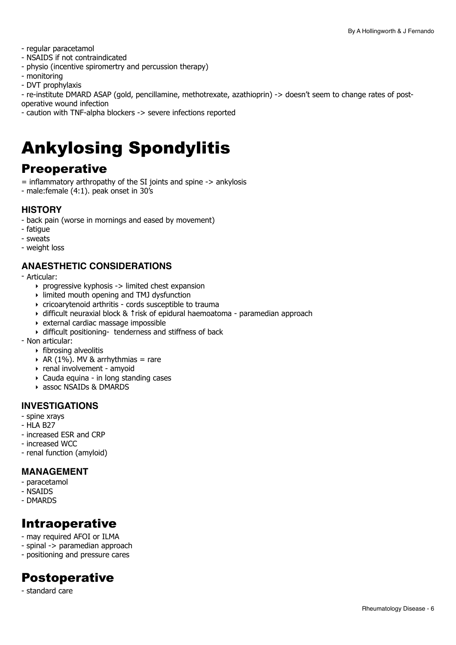- regular paracetamol
- NSAIDS if not contraindicated
- physio (incentive spiromertry and percussion therapy)
- monitoring
- DVT prophylaxis

- re-institute DMARD ASAP (gold, pencillamine, methotrexate, azathioprin) -> doesn't seem to change rates of postoperative wound infection

- caution with TNF-alpha blockers -> severe infections reported

# <span id="page-5-0"></span>Ankylosing Spondylitis

### **Preoperative**

 $=$  inflammatory arthropathy of the SI joints and spine  $\rightarrow$  ankylosis

- male:female (4:1). peak onset in 30's

### **HISTORY**

- back pain (worse in mornings and eased by movement)
- fatigue
- sweats
- weight loss

#### **ANAESTHETIC CONSIDERATIONS**

- Articular:
	- ‣ progressive kyphosis -> limited chest expansion
	- ‣ limited mouth opening and TMJ dysfunction
	- ‣ cricoarytenoid arthritis cords susceptible to trauma
	- ‣ difficult neuraxial block & ↑risk of epidural haemoatoma paramedian approach
	- ‣ external cardiac massage impossible
	- ‣ difficult positioning- tenderness and stiffness of back
- Non articular:
	- ‣ fibrosing alveolitis
	- $\triangleright$  AR (1%). MV & arrhythmias = rare
	- ‣ renal involvement amyoid
	- ‣ Cauda equina in long standing cases
	- ‣ assoc NSAIDs & DMARDS

#### **INVESTIGATIONS**

- spine xrays
- HLA B27
- increased ESR and CRP
- increased WCC
- renal function (amyloid)

#### **MANAGEMENT**

- paracetamol
- NSAIDS
- DMARDS

### Intraoperative

- may required AFOI or ILMA
- spinal -> paramedian approach
- positioning and pressure cares

### Postoperative

- standard care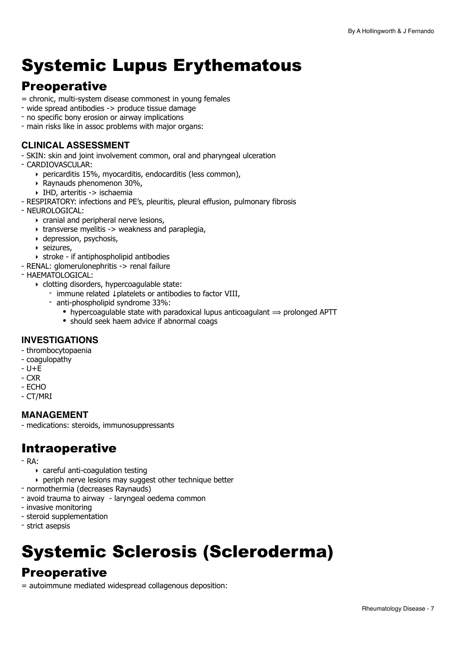# <span id="page-6-0"></span>Systemic Lupus Erythematous

### **Preoperative**

- = chronic, multi-system disease commonest in young females
- wide spread antibodies -> produce tissue damage
- no specific bony erosion or airway implications
- main risks like in assoc problems with major organs:

#### **CLINICAL ASSESSMENT**

- SKIN: skin and joint involvement common, oral and pharyngeal ulceration

- CARDIOVASCULAR:
	- ‣ pericarditis 15%, myocarditis, endocarditis (less common),
	- ‣ Raynauds phenomenon 30%,
	- ‣ IHD, arteritis -> ischaemia

- RESPIRATORY: infections and PE's, pleuritis, pleural effusion, pulmonary fibrosis

- NEUROLOGICAL:
	- ‣ cranial and peripheral nerve lesions,
	- ‣ transverse myelitis -> weakness and paraplegia,
	- ‣ depression, psychosis,
	- ‣ seizures,
	- ‣ stroke if antiphospholipid antibodies
- RENAL: glomerulonephritis -> renal failure
- HAEMATOLOGICAL:
	- ‣ clotting disorders, hypercoagulable state:
		- immune related ↓platelets or antibodies to factor VIII,
		- anti-phospholipid syndrome 33%:
			- hypercoagulable state with paradoxical lupus anticoagulant  $\Rightarrow$  prolonged APTT
			- should seek haem advice if abnormal coags

#### **INVESTIGATIONS**

- thrombocytopaenia
- coagulopathy
- $U + E$
- CXR
- ECHO
- CT/MRI

#### **MANAGEMENT**

- medications: steroids, immunosuppressants

### Intraoperative

- RA:
	- ‣ careful anti-coagulation testing
	- ‣ periph nerve lesions may suggest other technique better
- normothermia (decreases Raynauds)
- avoid trauma to airway laryngeal oedema common
- invasive monitoring
- steroid supplementation
- strict asepsis

# <span id="page-6-1"></span>Systemic Sclerosis (Scleroderma)

### **Preoperative**

= autoimmune mediated widespread collagenous deposition: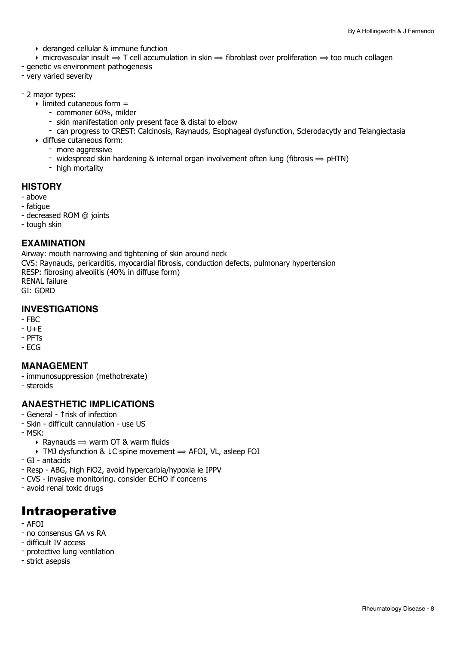- ‣ deranged cellular & immune function
- $\rightarrow$  microvascular insult  $\rightarrow$  T cell accumulation in skin  $\rightarrow$  fibroblast over proliferation  $\rightarrow$  too much collagen
- genetic vs environment pathogenesis
- very varied severity
- 2 major types:
	- $\rightarrow$  limited cutaneous form  $=$ 
		- commoner 60%, milder
		- skin manifestation only present face & distal to elbow
		- can progress to CREST: Calcinosis, Raynauds, Esophageal dysfunction, Sclerodacytly and Telangiectasia
	- ‣ diffuse cutaneous form:
		- more aggressive
		- widespread skin hardening & internal organ involvement often lung (fibrosis  $\Rightarrow$  pHTN)
		- high mortality

#### **HISTORY**

- above
- fatigue
- decreased ROM @ joints
- tough skin

#### **EXAMINATION**

Airway: mouth narrowing and tightening of skin around neck CVS: Raynauds, pericarditis, myocardial fibrosis, conduction defects, pulmonary hypertension RESP: fibrosing alveolitis (40% in diffuse form) RENAL failure GI: GORD

### **INVESTIGATIONS**

- $-FBC$
- $U + E$
- PFTs
- ECG

#### **MANAGEMENT**

- immunosuppression (methotrexate)
- steroids

#### **ANAESTHETIC IMPLICATIONS**

- General ↑risk of infection
- Skin difficult cannulation use US
- MSK:
	- $\rightarrow$  Raynauds  $\rightarrow$  warm OT & warm fluids
	- ‣ TMJ dysfunction & ↓C spine movement ⟹ AFOI, VL, asleep FOI
- GI antacids
- Resp ABG, high FiO2, avoid hypercarbia/hypoxia ie IPPV
- CVS invasive monitoring. consider ECHO if concerns
- avoid renal toxic drugs

### Intraoperative

- AFOI
- no consensus GA vs RA
- difficult IV access
- protective lung ventilation
- strict asepsis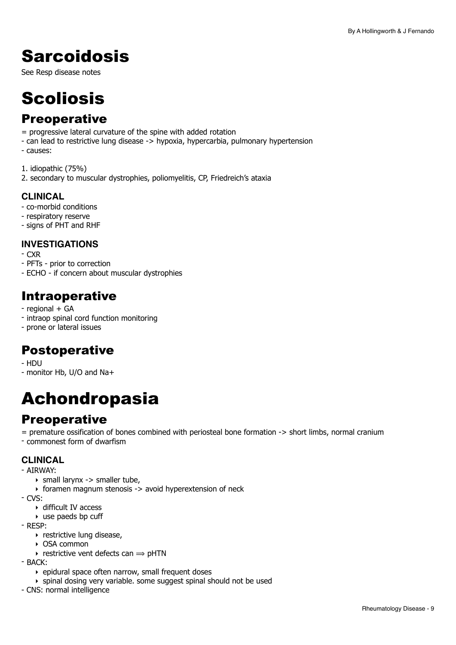# <span id="page-8-0"></span>**Sarcoidosis**

See Resp disease notes

# <span id="page-8-1"></span>**Scoliosis**

### **Preoperative**

- = progressive lateral curvature of the spine with added rotation
- can lead to restrictive lung disease -> hypoxia, hypercarbia, pulmonary hypertension
- causes:

1. idiopathic (75%) 2. secondary to muscular dystrophies, poliomyelitis, CP, Friedreich's ataxia

### **CLINICAL**

- co-morbid conditions
- respiratory reserve
- signs of PHT and RHF

### **INVESTIGATIONS**

- CXR
- PFTs prior to correction
- ECHO if concern about muscular dystrophies

### Intraoperative

- regional + GA
- intraop spinal cord function monitoring
- prone or lateral issues

### Postoperative

- HDU
- monitor Hb, U/O and Na+

## <span id="page-8-2"></span>Achondropasia

### **Preoperative**

= premature ossification of bones combined with periosteal bone formation -> short limbs, normal cranium - commonest form of dwarfism

### **CLINICAL**

- AIRWAY:
	- ‣ small larynx -> smaller tube,
	- ‣ foramen magnum stenosis -> avoid hyperextension of neck
- CVS:
	- ‣ difficult IV access
	- $\rightarrow$  use paeds bp cuff
- RESP:
	- **restrictive lung disease,**
	- ‣ OSA common
	- $\rightarrow$  restrictive vent defects can  $\rightarrow$  pHTN
- $-$  BACK $\cdot$ 
	- ‣ epidural space often narrow, small frequent doses
	- ‣ spinal dosing very variable. some suggest spinal should not be used
- CNS: normal intelligence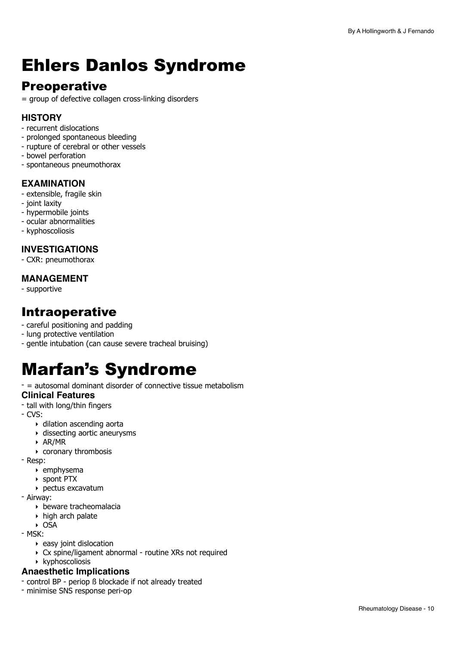# <span id="page-9-0"></span>Ehlers Danlos Syndrome

### **Preoperative**

= group of defective collagen cross-linking disorders

### **HISTORY**

- recurrent dislocations
- prolonged spontaneous bleeding
- rupture of cerebral or other vessels
- bowel perforation
- spontaneous pneumothorax

### **EXAMINATION**

- extensible, fragile skin
- joint laxity
- hypermobile joints
- ocular abnormalities
- kyphoscoliosis

### **INVESTIGATIONS**

- CXR: pneumothorax

### **MANAGEMENT**

- supportive

### Intraoperative

- careful positioning and padding
- lung protective ventilation
- gentle intubation (can cause severe tracheal bruising)

# <span id="page-9-1"></span>Marfan's Syndrome

- = autosomal dominant disorder of connective tissue metabolism **Clinical Features**

- tall with long/thin fingers
- CVS:
	- ‣ dilation ascending aorta
	- ‣ dissecting aortic aneurysms
	- ‣ AR/MR
	- ‣ coronary thrombosis
- Resp:
	- ‣ emphysema
	- ‣ spont PTX
	- ‣ pectus excavatum
- Airway:
	- ‣ beware tracheomalacia
	- ‣ high arch palate
	- ‣ OSA
- MSK:
	- ‣ easy joint dislocation
	- ‣ Cx spine/ligament abnormal routine XRs not required
	- ‣ kyphoscoliosis

#### **Anaesthetic Implications**

- control BP periop ß blockade if not already treated
- minimise SNS response peri-op